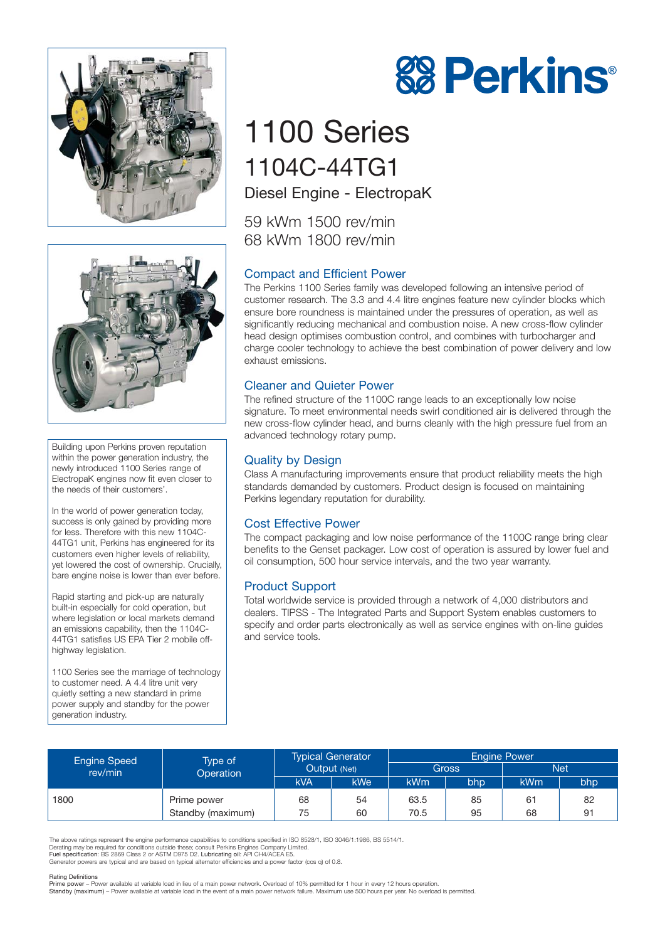



Building upon Perkins proven reputation within the power generation industry, the newly introduced 1100 Series range of ElectropaK engines now fit even closer to the needs of their customers'.

In the world of power generation today, success is only gained by providing more for less. Therefore with this new 1104C-44TG1 unit, Perkins has engineered for its customers even higher levels of reliability, yet lowered the cost of ownership. Crucially, bare engine noise is lower than ever before.

Rapid starting and pick-up are naturally built-in especially for cold operation, but where legislation or local markets demand an emissions capability, then the 1104C-44TG1 satisfies US EPA Tier 2 mobile offhighway legislation.

1100 Series see the marriage of technology to customer need. A 4.4 litre unit very quietly setting a new standard in prime power supply and standby for the power generation industry.

# **88 Perkins®**

# 1100 Series 1104C-44TG1 Diesel Engine - ElectropaK

59 kWm 1500 rev/min 68 kWm 1800 rev/min

## Compact and Efficient Power

The Perkins 1100 Series family was developed following an intensive period of customer research. The 3.3 and 4.4 litre engines feature new cylinder blocks which ensure bore roundness is maintained under the pressures of operation, as well as significantly reducing mechanical and combustion noise. A new cross-flow cylinder head design optimises combustion control, and combines with turbocharger and charge cooler technology to achieve the best combination of power delivery and low exhaust emissions.

### Cleaner and Quieter Power

The refined structure of the 1100C range leads to an exceptionally low noise signature. To meet environmental needs swirl conditioned air is delivered through the new cross-flow cylinder head, and burns cleanly with the high pressure fuel from an advanced technology rotary pump.

#### Quality by Design

Class A manufacturing improvements ensure that product reliability meets the high standards demanded by customers. Product design is focused on maintaining Perkins legendary reputation for durability.

### Cost Effective Power

The compact packaging and low noise performance of the 1100C range bring clear benefits to the Genset packager. Low cost of operation is assured by lower fuel and oil consumption, 500 hour service intervals, and the two year warranty.

#### Product Support

Total worldwide service is provided through a network of 4,000 distributors and dealers. TIPSS - The Integrated Parts and Support System enables customers to specify and order parts electronically as well as service engines with on-line guides and service tools.

| <b>Engine Speed</b><br>rev/min | Type of<br>Operation | <b>Typical Generator</b><br>Output (Net) |     | <b>Engine Power</b> |     |            |     |
|--------------------------------|----------------------|------------------------------------------|-----|---------------------|-----|------------|-----|
|                                |                      |                                          |     | Gross               |     | <b>Net</b> |     |
|                                |                      | kVA                                      | kWe | kWm                 | bhp | <b>kWm</b> | bhp |
| 1800                           | Prime power          | 68                                       | 54  | 63.5                | 85  | 61         | 82  |
|                                | Standby (maximum)    | 75                                       | 60  | 70.5                | 95  | 68         | 91  |

The above ratings represent the engine performance capabilities to conditions specified in ISO 8528/1, ISO 3046/1:1986, BS 5514/1.<br>Derating may be required for conditions outside these; consult Perkins Engines Company Limi

Fuel specification: BS 2869 Class 2 or ASTM D975 D2. Lubricating oil: API CH4/ACEA E5. Generator powers are typical and are based on typical alternator efficiencies and a power factor (cos q) of 0.8.

#### Rating Definitions

Prime power – Power available at variable load in lieu of a main power network. Overload of 10% permitted for 1 hour in every 12 hours operation.<br>Standby (maximum) – Power available at variable load in the event of a main